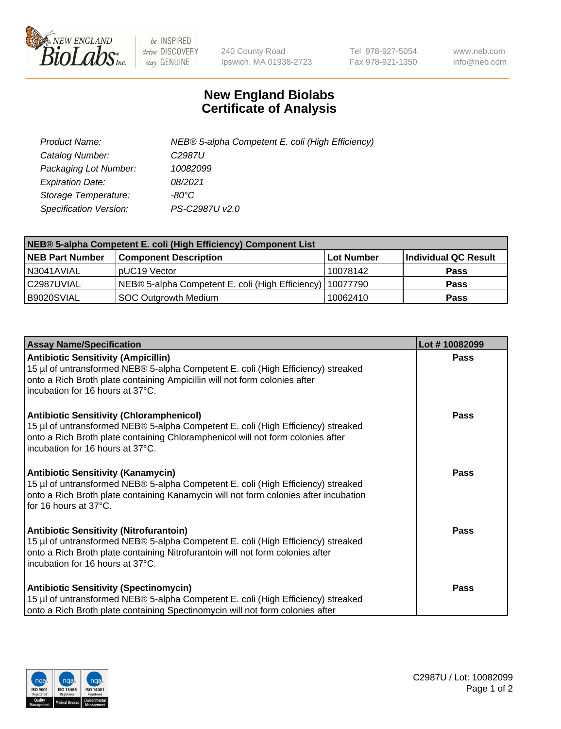

 $be$  INSPIRED drive DISCOVERY stay GENUINE

240 County Road Ipswich, MA 01938-2723 Tel 978-927-5054 Fax 978-921-1350 www.neb.com info@neb.com

## **New England Biolabs Certificate of Analysis**

| Product Name:                 | NEB® 5-alpha Competent E. coli (High Efficiency) |
|-------------------------------|--------------------------------------------------|
| Catalog Number:               | C <sub>2987</sub> U                              |
| Packaging Lot Number:         | 10082099                                         |
| <b>Expiration Date:</b>       | 08/2021                                          |
| Storage Temperature:          | -80°C                                            |
| <b>Specification Version:</b> | PS-C2987U v2.0                                   |

| NEB® 5-alpha Competent E. coli (High Efficiency) Component List |                                                             |            |                      |  |
|-----------------------------------------------------------------|-------------------------------------------------------------|------------|----------------------|--|
| <b>NEB Part Number</b>                                          | <b>Component Description</b>                                | Lot Number | Individual QC Result |  |
| N3041AVIAL                                                      | pUC19 Vector                                                | 10078142   | <b>Pass</b>          |  |
| C2987UVIAL                                                      | NEB® 5-alpha Competent E. coli (High Efficiency)   10077790 |            | <b>Pass</b>          |  |
| B9020SVIAL                                                      | <b>SOC Outgrowth Medium</b>                                 | 10062410   | <b>Pass</b>          |  |

| <b>Assay Name/Specification</b>                                                                                                                                                                                                                            | Lot #10082099 |
|------------------------------------------------------------------------------------------------------------------------------------------------------------------------------------------------------------------------------------------------------------|---------------|
| <b>Antibiotic Sensitivity (Ampicillin)</b><br>15 µl of untransformed NEB® 5-alpha Competent E. coli (High Efficiency) streaked<br>onto a Rich Broth plate containing Ampicillin will not form colonies after<br>incubation for 16 hours at 37°C.           | Pass          |
| <b>Antibiotic Sensitivity (Chloramphenicol)</b><br>15 µl of untransformed NEB® 5-alpha Competent E. coli (High Efficiency) streaked<br>onto a Rich Broth plate containing Chloramphenicol will not form colonies after<br>incubation for 16 hours at 37°C. | Pass          |
| Antibiotic Sensitivity (Kanamycin)<br>15 µl of untransformed NEB® 5-alpha Competent E. coli (High Efficiency) streaked<br>onto a Rich Broth plate containing Kanamycin will not form colonies after incubation<br>for 16 hours at 37°C.                    | Pass          |
| <b>Antibiotic Sensitivity (Nitrofurantoin)</b><br>15 µl of untransformed NEB® 5-alpha Competent E. coli (High Efficiency) streaked<br>onto a Rich Broth plate containing Nitrofurantoin will not form colonies after<br>incubation for 16 hours at 37°C.   | <b>Pass</b>   |
| <b>Antibiotic Sensitivity (Spectinomycin)</b><br>15 µl of untransformed NEB® 5-alpha Competent E. coli (High Efficiency) streaked<br>onto a Rich Broth plate containing Spectinomycin will not form colonies after                                         | Pass          |